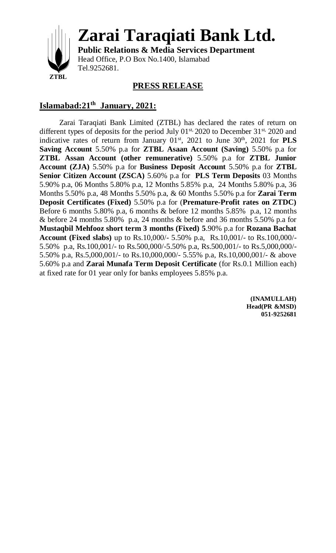

**Zarai Taraqiati Bank Ltd.**

**Public Relations & Media Services Department** Head Office, P.O Box No.1400, Islamabad Tel.9252681.

## **PRESS RELEASE**

## **Islamabad:21 th January, 2021:**

Zarai Taraqiati Bank Limited (ZTBL) has declared the rates of return on different types of deposits for the period July  $01^{st}$ , 2020 to December 31<sup>st, 2020</sup> and indicative rates of return from January  $01<sup>st</sup>$ ,  $2021$  to June  $30<sup>th</sup>$ ,  $2021$  for **PLS Saving Account** 5.50% p.a for **ZTBL Asaan Account (Saving)** 5.50% p.a for **ZTBL Assan Account (other remunerative)** 5.50% p.a for **ZTBL Junior Account (ZJA)** 5.50% p.a for **Business Deposit Account** 5.50% p.a for **ZTBL Senior Citizen Account (ZSCA)** 5.60% p.a for **PLS Term Deposits** 03 Months 5.90% p.a, 06 Months 5.80% p.a, 12 Months 5.85% p.a, 24 Months 5.80% p.a, 36 Months 5.50% p.a, 48 Months 5.50% p.a, & 60 Months 5.50% p.a for **Zarai Term Deposit Certificates (Fixed)** 5.50% p.a for (**Premature-Profit rates on ZTDC)**  Before 6 months 5.80% p.a, 6 months & before 12 months 5.85% p.a, 12 months & before 24 months 5.80% p.a, 24 months & before and 36 months 5.50% p.a for **Mustaqbil Mehfooz short term 3 months (Fixed) 5**.90% p.a for **Rozana Bachat Account (Fixed slabs)** up to Rs.10,000/- 5.50% p.a, Rs.10,001/- to Rs.100,000/- 5.50% p.a, Rs.100,001/- to Rs.500,000/-5.50% p.a, Rs.500,001/- to Rs.5,000,000/- 5.50% p.a, Rs.5,000,001/- to Rs.10,000,000/- 5.55% p.a, Rs.10,000,001/- & above 5.60% p.a and **Zarai Munafa Term Deposit Certificate** (for Rs.0.1 Million each) at fixed rate for 01 year only for banks employees 5.85% p.a.

> **(INAMULLAH) Head(PR &MSD) 051-9252681**